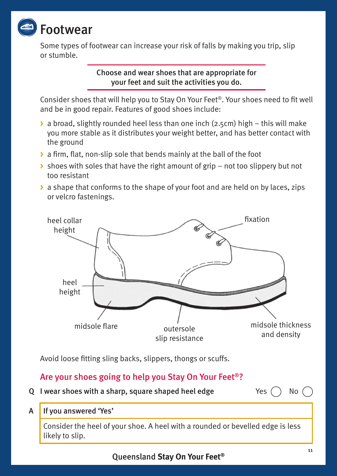

Some types of footwear can increase your risk of falls by making you trip, slip or stumble.

> Choose and wear shoes that are appropriate for your feet and suit the activities you do.

Consider shoes that will help you to Stay On Your Feet®. Your shoes need to fit well and be in good repair. Features of good shoes include:

- **>** a broad, slightly rounded heel less than one inch (2.5cm) high this will make you more stable as it distributes your weight better, and has better contact with the ground
- **>** a firm, flat, non-slip sole that bends mainly at the ball of the foot
- **>** shoes with soles that have the right amount of grip not too slippery but not too resistant
- **>** a shape that conforms to the shape of your foot and are held on by laces, zips or velcro fastenings.



Avoid loose fitting sling backs, slippers, thongs or scuffs.

## Are your shoes going to help you Stay On Your Feet®?

Q I wear shoes with a sharp, square shaped heel edge  $Yes$   $\cap$  No  $\cap$ 

A If you answered 'Yes'

Consider the heel of your shoe. A heel with a rounded or bevelled edge is less likely to slip.

Queensland **Stay On Your Feet®**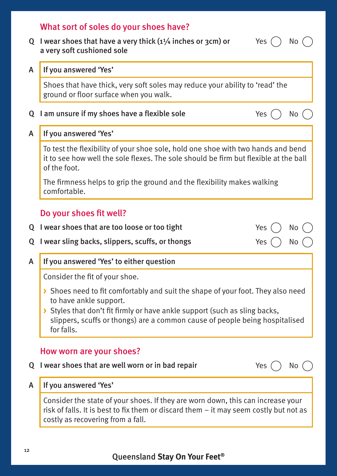# Q I wear shoes that have a very thick  $(1\frac{1}{4})$  inches or 3cm) or a very soft cushioned sole Yes  $($   $)$  No  $($ A If you answered 'Yes' Shoes that have thick, very soft soles may reduce your ability to 'read' the ground or floor surface when you walk. Q I am unsure if my shoes have a flexible sole  $Yes$   $\cap$  No  $\in$ A If you answered 'Yes' To test the flexibility of your shoe sole, hold one shoe with two hands and bend it to see how well the sole flexes. The sole should be firm but flexible at the ball of the foot. The firmness helps to grip the ground and the flexibility makes walking comfortable. Do your shoes fit well? Q I wear shoes that are too loose or too tight  $Yes$   $\cap$  No Q I wear sling backs, slippers, scuffs, or thongs  $Yes$   $\cap$  No A If you answered 'Yes' to either question Consider the fit of your shoe. **>** Shoes need to fit comfortably and suit the shape of your foot. They also need to have ankle support. **>** Styles that don't fit firmly or have ankle support (such as sling backs, slippers, scuffs or thongs) are a common cause of people being hospitalised for falls. How worn are your shoes? Q I wear shoes that are well worn or in bad repair  $Yes$   $\cap$  No  $\cap$ A If you answered 'Yes' Consider the state of your shoes. If they are worn down, this can increase your risk of falls. It is best to fix them or discard them – it may seem costly but not as costly as recovering from a fall.

What sort of soles do your shoes have?